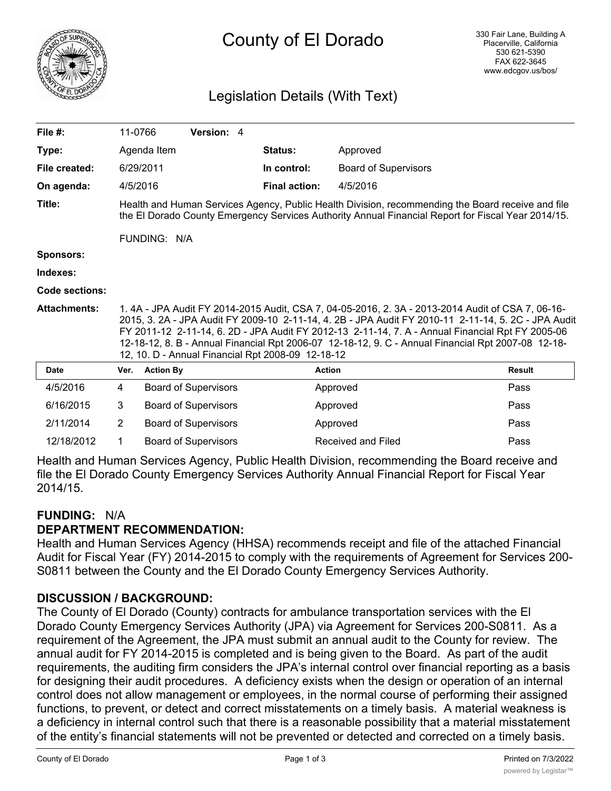

# County of El Dorado

## Legislation Details (With Text)

| File $#$ :            | 11-0766                                                                                                                                                                                                                                                                                                                                                                                                                                                               |                  | Version: 4                  |  |                      |                             |               |
|-----------------------|-----------------------------------------------------------------------------------------------------------------------------------------------------------------------------------------------------------------------------------------------------------------------------------------------------------------------------------------------------------------------------------------------------------------------------------------------------------------------|------------------|-----------------------------|--|----------------------|-----------------------------|---------------|
| Type:                 |                                                                                                                                                                                                                                                                                                                                                                                                                                                                       | Agenda Item      |                             |  | Status:              | Approved                    |               |
| File created:         |                                                                                                                                                                                                                                                                                                                                                                                                                                                                       | 6/29/2011        |                             |  | In control:          | <b>Board of Supervisors</b> |               |
| On agenda:            |                                                                                                                                                                                                                                                                                                                                                                                                                                                                       | 4/5/2016         |                             |  | <b>Final action:</b> | 4/5/2016                    |               |
| Title:                | Health and Human Services Agency, Public Health Division, recommending the Board receive and file<br>the El Dorado County Emergency Services Authority Annual Financial Report for Fiscal Year 2014/15.                                                                                                                                                                                                                                                               |                  |                             |  |                      |                             |               |
|                       |                                                                                                                                                                                                                                                                                                                                                                                                                                                                       | FUNDING: N/A     |                             |  |                      |                             |               |
| <b>Sponsors:</b>      |                                                                                                                                                                                                                                                                                                                                                                                                                                                                       |                  |                             |  |                      |                             |               |
| Indexes:              |                                                                                                                                                                                                                                                                                                                                                                                                                                                                       |                  |                             |  |                      |                             |               |
| <b>Code sections:</b> |                                                                                                                                                                                                                                                                                                                                                                                                                                                                       |                  |                             |  |                      |                             |               |
| <b>Attachments:</b>   | 1.4A - JPA Audit FY 2014-2015 Audit, CSA 7, 04-05-2016, 2.3A - 2013-2014 Audit of CSA 7, 06-16-<br>2015, 3. 2A - JPA Audit FY 2009-10 2-11-14, 4. 2B - JPA Audit FY 2010-11 2-11-14, 5. 2C - JPA Audit<br>FY 2011-12 2-11-14, 6. 2D - JPA Audit FY 2012-13 2-11-14, 7. A - Annual Financial Rpt FY 2005-06<br>12-18-12, 8. B - Annual Financial Rpt 2006-07 12-18-12, 9. C - Annual Financial Rpt 2007-08 12-18-<br>12, 10. D - Annual Financial Rpt 2008-09 12-18-12 |                  |                             |  |                      |                             |               |
| <b>Date</b>           | Ver.                                                                                                                                                                                                                                                                                                                                                                                                                                                                  | <b>Action By</b> |                             |  |                      | <b>Action</b>               | <b>Result</b> |
| 4/5/2016              | 4                                                                                                                                                                                                                                                                                                                                                                                                                                                                     |                  | <b>Board of Supervisors</b> |  |                      | Approved                    | Pass          |
| 6/16/2015             | 3                                                                                                                                                                                                                                                                                                                                                                                                                                                                     |                  | <b>Board of Supervisors</b> |  |                      | Approved                    | Pass          |
| 2/11/2014             | $\overline{2}$                                                                                                                                                                                                                                                                                                                                                                                                                                                        |                  | <b>Board of Supervisors</b> |  |                      | Approved                    | Pass          |
| 12/18/2012            | 1                                                                                                                                                                                                                                                                                                                                                                                                                                                                     |                  | <b>Board of Supervisors</b> |  |                      | Received and Filed          | Pass          |

Health and Human Services Agency, Public Health Division, recommending the Board receive and file the El Dorado County Emergency Services Authority Annual Financial Report for Fiscal Year 2014/15.

#### **FUNDING:** N/A

#### **DEPARTMENT RECOMMENDATION:**

Health and Human Services Agency (HHSA) recommends receipt and file of the attached Financial Audit for Fiscal Year (FY) 2014-2015 to comply with the requirements of Agreement for Services 200- S0811 between the County and the El Dorado County Emergency Services Authority.

#### **DISCUSSION / BACKGROUND:**

The County of El Dorado (County) contracts for ambulance transportation services with the El Dorado County Emergency Services Authority (JPA) via Agreement for Services 200-S0811. As a requirement of the Agreement, the JPA must submit an annual audit to the County for review. The annual audit for FY 2014-2015 is completed and is being given to the Board. As part of the audit requirements, the auditing firm considers the JPA's internal control over financial reporting as a basis for designing their audit procedures. A deficiency exists when the design or operation of an internal control does not allow management or employees, in the normal course of performing their assigned functions, to prevent, or detect and correct misstatements on a timely basis. A material weakness is a deficiency in internal control such that there is a reasonable possibility that a material misstatement of the entity's financial statements will not be prevented or detected and corrected on a timely basis.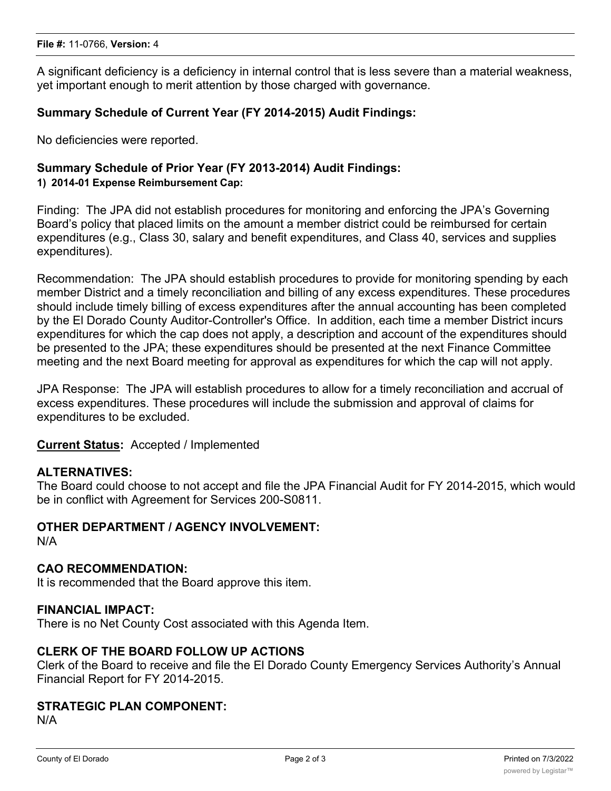A significant deficiency is a deficiency in internal control that is less severe than a material weakness, yet important enough to merit attention by those charged with governance.

#### **Summary Schedule of Current Year (FY 2014-2015) Audit Findings:**

No deficiencies were reported.

# **Summary Schedule of Prior Year (FY 2013-2014) Audit Findings:**

#### **1) 2014-01 Expense Reimbursement Cap:**

Finding: The JPA did not establish procedures for monitoring and enforcing the JPA's Governing Board's policy that placed limits on the amount a member district could be reimbursed for certain expenditures (e.g., Class 30, salary and benefit expenditures, and Class 40, services and supplies expenditures).

Recommendation: The JPA should establish procedures to provide for monitoring spending by each member District and a timely reconciliation and billing of any excess expenditures. These procedures should include timely billing of excess expenditures after the annual accounting has been completed by the El Dorado County Auditor-Controller's Office. In addition, each time a member District incurs expenditures for which the cap does not apply, a description and account of the expenditures should be presented to the JPA; these expenditures should be presented at the next Finance Committee meeting and the next Board meeting for approval as expenditures for which the cap will not apply.

JPA Response: The JPA will establish procedures to allow for a timely reconciliation and accrual of excess expenditures. These procedures will include the submission and approval of claims for expenditures to be excluded.

#### **Current Status:** Accepted / Implemented

#### **ALTERNATIVES:**

The Board could choose to not accept and file the JPA Financial Audit for FY 2014-2015, which would be in conflict with Agreement for Services 200-S0811.

#### **OTHER DEPARTMENT / AGENCY INVOLVEMENT:**

N/A

#### **CAO RECOMMENDATION:**

It is recommended that the Board approve this item.

#### **FINANCIAL IMPACT:**

There is no Net County Cost associated with this Agenda Item.

#### **CLERK OF THE BOARD FOLLOW UP ACTIONS**

Clerk of the Board to receive and file the El Dorado County Emergency Services Authority's Annual Financial Report for FY 2014-2015.

#### **STRATEGIC PLAN COMPONENT:**

N/A